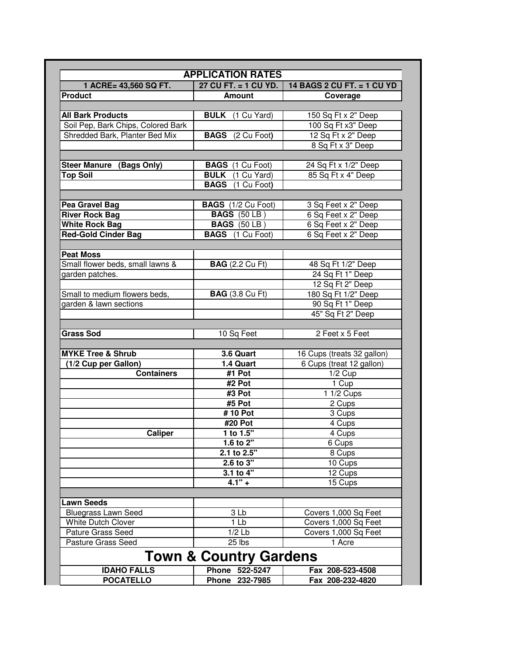| <b>APPLICATION RATES</b><br>1 ACRE= 43,560 SQ FT.       | $27$ CU FT. $= 1$ CU YD.                           | 14 BAGS 2 CU FT. = 1 CU YD            |
|---------------------------------------------------------|----------------------------------------------------|---------------------------------------|
| <b>Product</b>                                          | <b>Amount</b>                                      | Coverage                              |
|                                                         |                                                    |                                       |
| <b>All Bark Products</b>                                | <b>BULK</b> (1 Cu Yard)                            | 150 Sq Ft x 2" Deep                   |
| Soil Pep, Bark Chips, Colored Bark                      |                                                    | 100 Sq Ft x3" Deep                    |
| Shredded Bark, Planter Bed Mix                          | <b>BAGS</b> (2 Cu Foot)                            | 12 Sq Ft x 2" Deep                    |
|                                                         |                                                    | 8 Sq Ft x 3" Deep                     |
|                                                         |                                                    |                                       |
| <b>Steer Manure (Bags Only)</b>                         | <b>BAGS</b> (1 Cu Foot)<br><b>BULK</b> (1 Cu Yard) | 24 Sq Ft x 1/2" Deep                  |
| <b>Top Soil</b>                                         | <b>BAGS</b> (1 Cu Foot)                            | 85 Sq Ft x 4" Deep                    |
|                                                         |                                                    |                                       |
| Pea Gravel Bag                                          | <b>BAGS</b> (1/2 Cu Foot)                          | 3 Sq Feet x 2" Deep                   |
| <b>River Rock Bag</b>                                   | <b>BAGS</b> (50 LB)                                | 6 Sq Feet x 2" Deep                   |
| <b>White Rock Bag</b>                                   | <b>BAGS</b> (50 LB)                                | 6 Sq Feet x 2" Deep                   |
| <b>Red-Gold Cinder Bag</b>                              | <b>BAGS</b> (1 Cu Foot)                            | 6 Sq Feet x 2" Deep                   |
|                                                         |                                                    |                                       |
| <b>Peat Moss</b>                                        |                                                    |                                       |
| Small flower beds, small lawns &<br>garden patches.     | <b>BAG</b> (2.2 Cu Ft)                             | 48 Sq Ft 1/2" Deep                    |
|                                                         |                                                    | 24 Sq Ft 1" Deep                      |
|                                                         |                                                    | 12 Sq Ft 2" Deep                      |
| Small to medium flowers beds,<br>garden & lawn sections | <b>BAG</b> (3.8 Cu Ft)                             | 180 Sq Ft 1/2" Deep                   |
|                                                         |                                                    | 90 Sq Ft 1" Deep<br>45" Sq Ft 2" Deep |
|                                                         |                                                    |                                       |
| <b>Grass Sod</b>                                        | 10 Sq Feet                                         | 2 Feet x 5 Feet                       |
|                                                         |                                                    |                                       |
| <b>MYKE Tree &amp; Shrub</b>                            | 3.6 Quart                                          | 16 Cups (treats 32 gallon)            |
| $(1/2$ Cup per Gallon)                                  | 1.4 Quart                                          | 6 Cups (treat 12 gallon)              |
| <b>Containers</b>                                       | #1 Pot                                             | $1/2$ Cup                             |
|                                                         | #2 Pot                                             | 1 Cup                                 |
|                                                         | #3 Pot                                             | 1 1/2 Cups                            |
|                                                         | #5 Pot                                             | 2 Cups                                |
|                                                         | #10 Pot                                            | 3 Cups                                |
|                                                         | #20 Pot                                            | 4 Cups                                |
| <b>Caliper</b>                                          | 1 to $1.5"$                                        | 4 Cups                                |
|                                                         | 1.6 to $2^{\overline{1}}$                          | 6 Cups                                |
|                                                         | $2.1$ to 2.5"                                      | 8 Cups                                |
|                                                         | 2.6 to 3"                                          | 10 Cups                               |
|                                                         | 3.1 to 4"                                          | 12 Cups                               |
|                                                         | $4.1" +$                                           | 15 Cups                               |
| <b>Lawn Seeds</b>                                       |                                                    |                                       |
| <b>Bluegrass Lawn Seed</b>                              | 3 Lb                                               | Covers 1,000 Sq Feet                  |
| White Dutch Clover                                      | 1 <sub>Lb</sub>                                    | Covers 1,000 Sq Feet                  |
| Pature Grass Seed                                       | $1/2$ Lb                                           | Covers 1,000 Sq Feet                  |
| Pasture Grass Seed                                      | $25$ lbs                                           | 1 Acre                                |
|                                                         |                                                    |                                       |
|                                                         | <b>Town &amp; Country Gardens</b>                  |                                       |
| <b>IDAHO FALLS</b>                                      | Phone 522-5247                                     | Fax 208-523-4508                      |
| <b>POCATELLO</b>                                        | Phone 232-7985                                     | Fax 208-232-4820                      |